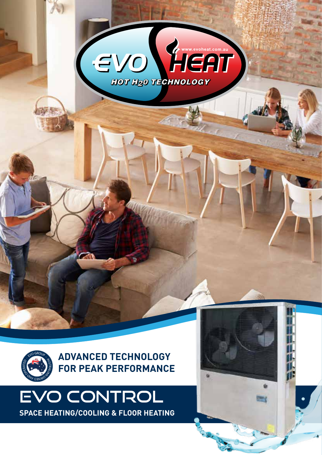



## EVO CONTROL **SPACE HEATING/COOLING & FLOOR HEATING**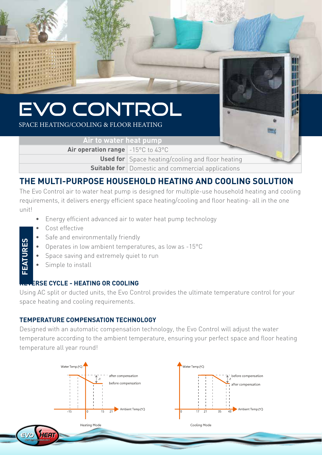

**Used for** Space heating/cooling and floor heating **Suitable for** Domestic and commercial applications

### **THE MULTI-PURPOSE HOUSEHOLD HEATING AND COOLING SOLUTION**

The Evo Control air to water heat pump is designed for multiple-use household heating and cooling requirements, it delivers energy efficient space heating/cooling and floor heating- all in the one unit!

- Energy efficient advanced air to water heat pump technology
- Cost effective
- Safe and environmentally friendly
- Operates in low ambient temperatures, as low as -15°C
- Space saving and extremely quiet to run
- Simple to install

**EATURES FEATURES**

#### **ERSE CYCLE - HEATING OR COOLING**

Using AC split or ducted units, the Evo Control provides the ultimate temperature control for your space heating and cooling requirements.

#### **TEMPERATURE COMPENSATION TECHNOLOGY**

Designed with an automatic compensation technology, the Evo Control will adjust the water temperature according to the ambient temperature, ensuring your perfect space and floor heating temperature all year round!

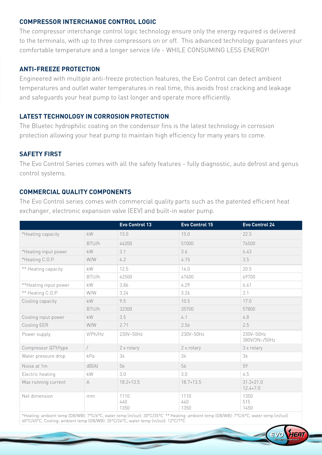#### **COMPRESSOR INTERCHANGE CONTROL LOGIC**

The compressor interchange control logic technology ensure only the energy required is delivered to the terminals, with up to three compressors on or off. This advanced technology guarantees your comfortable temperature and a longer service life - WHILE CONSUMING LESS ENERGY!

#### **ANTI-FREEZE PROTECTION**

Engineered with multiple anti-freeze protection features, the Evo Control can detect ambient temperatures and outlet water temperatures in real time, this avoids frost cracking and leakage and safeguards your heat pump to last longer and operate more efficiently.

#### **LATEST TECHNOLOGY IN CORROSION PROTECTION**

The Bluetec hydrophilic coating on the condensor fins is the latest technology in corrosion protection allowing your heat pump to maintain high efficiency for many years to come.

#### **SAFETY FIRST**

The Evo Control Series comes with all the safety features - fully diagnostic, auto defrost and genus control systems.

#### **COMMERCIAL QUALITY COMPONENTS**

The Evo Control series comes with commercial quality parts such as the patented efficient heat exchanger, electronic expansion valve (EEV) and built-in water pump.

|                       |                        | Evo Control 13      | Evo Control 15      | Evo Control 24                |
|-----------------------|------------------------|---------------------|---------------------|-------------------------------|
| *Heating capacity     | kW                     | 13.0                | 15.0                | 22.5                          |
|                       | BTU/h                  | 44200               | 51000               | 76500                         |
| *Heating input power  | $\mathsf{k}\mathsf{W}$ | 3.1                 | 3.6                 | 6.43                          |
| *Heating C.O.P.       | W/W                    | 4.2                 | 4.15                | 3.5                           |
| ** Heating capacity   | kW                     | 12.5                | 14.0                | 20.5                          |
|                       | BTU/h                  | 42500               | 47600               | 69700                         |
| **Heating input power | kW                     | 3.86                | 4.29                | 6.61                          |
| ** Heating C.O.P.     | W/W                    | 3.24                | 3.26                | 3.1                           |
| Cooling capacity      | <b>kW</b>              | 9.5                 | 10.5                | 17.0                          |
|                       | BTU/h                  | 32300               | 35700               | 57800                         |
| Cooling input power   | $\mathsf{k}\mathsf{W}$ | 3.5                 | 4.1                 | 6.8                           |
| Cooling EER           | W/W                    | 2.71                | 2.56                | 2.5                           |
| Power supply          | V/Ph/Hz                | 230V~50Hz           | 230V~50Hz           | 230V~50Hz<br>380V/3N~/50Hz    |
| Compressor QTY/type   |                        | 2 x rotary          | 2 x rotary          | 3 x rotary                    |
| Water pressure drop   | kPa                    | 34                  | 34                  | 36                            |
| Noise at 1m           | dB(A)                  | 56                  | 56                  | 59                            |
| Electric heating      | kW                     | 3.0                 | 3.0                 | 4.5                           |
| Max running current   | A                      | $18.2 + 13.5$       | $18.7 + 13.5$       | $31.3 + 21.0$<br>$12.4 + 7.0$ |
| Net dimension         | mm                     | 1110<br>440<br>1350 | 1110<br>440<br>1350 | 1350<br>515<br>1450           |

\*Heating: ambient temp (DB/WB): 7°C/6°C, water temp (in/out): 30°C/35°C \*\* Heating: ambient temp (DB/WB): 7°C/6°C, water temp (in/out) 40°C/45°C, Cooling: ambient temp (DB/WB): 35°C/24°C, water temp (in/out): 12°C/7°C